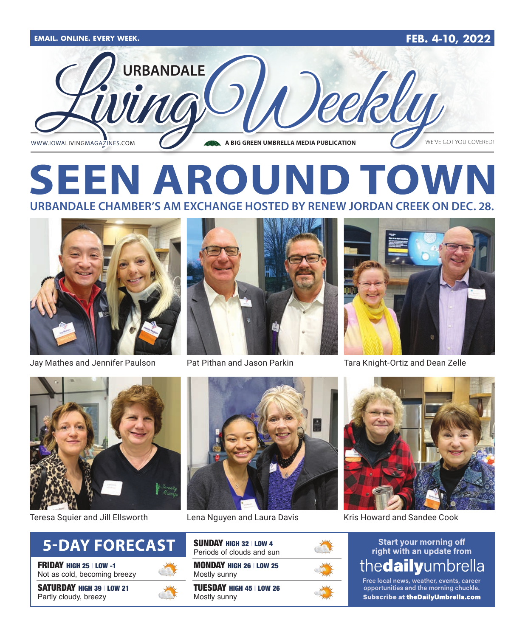

## **SEEN AROUND TOWN URBANDALE CHAMBER'S AM EXCHANGE HOSTED BY RENEW JORDAN CREEK ON DEC. 28.**



Jay Mathes and Jennifer Paulson Pat Pithan and Jason Parkin Tara Knight-Ortiz and Dean Zelle









FRIDAY HIGH 25 | LOW -1 Not as cold, becoming breezy

SATURDAY HIGH 39 | LOW 21 Partly cloudy, breezy





| <b>SUNDAY HIGH 32 LOW 4</b><br>Periods of clouds and sun |
|----------------------------------------------------------|
| <b>MONDAY HIGH 26   LOW 25</b><br>Mostly sunny           |

TUESDAY HIGH 45 | LOW 26 Mostly sunny





Teresa Squier and Jill Ellsworth Lena Nguyen and Laura Davis Kris Howard and Sandee Cook

### **Start your morning off** right with an update from thedailyumbrella

Free local news, weather, events, career opportunities and the morning chuckle. Subscribe at theDailyUmbrella.com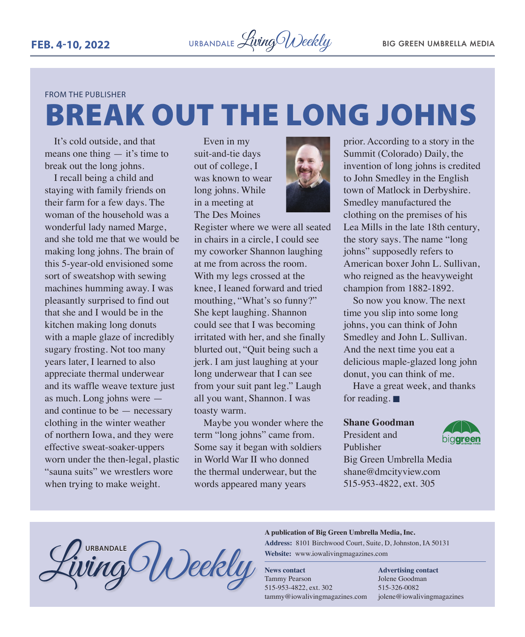FROM THE PUBLISHER

# BREAK OUT THE LONG JOHNS

It's cold outside, and that means one thing  $-$  it's time to break out the long johns.

I recall being a child and staying with family friends on their farm for a few days. The woman of the household was a wonderful lady named Marge, and she told me that we would be making long johns. The brain of this 5-year-old envisioned some sort of sweatshop with sewing machines humming away. I was pleasantly surprised to find out that she and I would be in the kitchen making long donuts with a maple glaze of incredibly sugary frosting. Not too many years later, I learned to also appreciate thermal underwear and its waffle weave texture just as much. Long johns were and continue to be — necessary clothing in the winter weather of northern Iowa, and they were effective sweat-soaker-uppers worn under the then-legal, plastic "sauna suits" we wrestlers wore when trying to make weight.

Even in my suit-and-tie days out of college, I was known to wear long johns. While in a meeting at The Des Moines



Register where we were all seated in chairs in a circle, I could see my coworker Shannon laughing at me from across the room. With my legs crossed at the knee, I leaned forward and tried mouthing, "What's so funny?" She kept laughing. Shannon could see that I was becoming irritated with her, and she finally blurted out, "Quit being such a jerk. I am just laughing at your long underwear that I can see from your suit pant leg." Laugh all you want, Shannon. I was toasty warm.

Maybe you wonder where the term "long johns" came from. Some say it began with soldiers in World War II who donned the thermal underwear, but the words appeared many years

prior. According to a story in the Summit (Colorado) Daily, the invention of long johns is credited to John Smedley in the English town of Matlock in Derbyshire. Smedley manufactured the clothing on the premises of his Lea Mills in the late 18th century, the story says. The name "long johns" supposedly refers to American boxer John L. Sullivan, who reigned as the heavyweight champion from 1882-1892.

So now you know. The next time you slip into some long johns, you can think of John Smedley and John L. Sullivan. And the next time you eat a delicious maple-glazed long john donut, you can think of me.

Have a great week, and thanks for reading.  $\blacksquare$ 

### **Shane Goodman**

President and Publisher



Big Green Umbrella Media shane@dmcityview.com 515-953-4822, ext. 305

#### **A publication of Big Green Umbrella Media, Inc.**

**Address:** 8101 Birchwood Court, Suite, D, Johnston, IA 50131 **Website:** www.iowalivingmagazines.com

**News contact** Tammy Pearson 515-953-4822, ext. 302 tammy@iowalivingmagazines.com

**Advertising contact** Jolene Goodman 515-326-0082 jolene@iowalivingmagazines

**URBANDALE**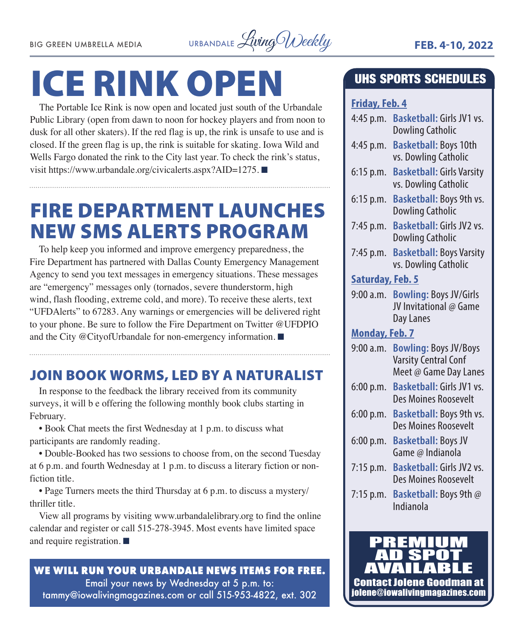

# ICE RINK OPEN

The Portable Ice Rink is now open and located just south of the Urbandale Public Library (open from dawn to noon for hockey players and from noon to dusk for all other skaters). If the red flag is up, the rink is unsafe to use and is closed. If the green flag is up, the rink is suitable for skating. Iowa Wild and Wells Fargo donated the rink to the City last year. To check the rink's status, visit https://www.urbandale.org/civicalerts.aspx?AID=1275.

## FIRE DEPARTMENT LAUNCHES NEW SMS ALERTS PROGRAM

To help keep you informed and improve emergency preparedness, the Fire Department has partnered with Dallas County Emergency Management Agency to send you text messages in emergency situations. These messages are "emergency" messages only (tornados, severe thunderstorm, high wind, flash flooding, extreme cold, and more). To receive these alerts, text "UFDAlerts" to 67283. Any warnings or emergencies will be delivered right to your phone. Be sure to follow the Fire Department on Twitter @UFDPIO and the City @CityofUrbandale for non-emergency information.  $\blacksquare$ 

### JOIN BOOK WORMS, LED BY A NATURALIST

In response to the feedback the library received from its community surveys, it will b e offering the following monthly book clubs starting in February.

• Book Chat meets the first Wednesday at 1 p.m. to discuss what participants are randomly reading.

• Double-Booked has two sessions to choose from, on the second Tuesday at 6 p.m. and fourth Wednesday at 1 p.m. to discuss a literary fiction or nonfiction title.

• Page Turners meets the third Thursday at 6 p.m. to discuss a mystery/ thriller title.

View all programs by visiting www.urbandalelibrary.org to find the online calendar and register or call 515-278-3945. Most events have limited space and require registration.  $\blacksquare$ 

### **WE WILL RUN YOUR URBANDALE NEWS ITEMS FOR FREE.** Email your news by Wednesday at 5 p.m. to: tammy@iowalivingmagazines.com or call 515-953-4822, ext. 302

### UHS SPORTS SCHEDULES

### **Friday, Feb. 4**

- 4:45 p.m. **Basketball:** Girls JV1 vs. Dowling Catholic
- 4:45 p.m. **Basketball:** Boys 10th vs. Dowling Catholic
- 6:15 p.m. **Basketball:** Girls Varsity vs. Dowling Catholic
- 6:15 p.m. **Basketball:** Boys 9th vs. Dowling Catholic
- 7:45 p.m. **Basketball:** Girls JV2 vs. Dowling Catholic
- 7:45 p.m. **Basketball:** Boys Varsity vs. Dowling Catholic

### **Saturday, Feb. 5**

9:00 a.m. **Bowling:** Boys JV/Girls JV Invitational @ Game Day Lanes

### **Monday, Feb. 7**

- 9:00 a.m. **Bowling:** Boys JV/Boys Varsity Central Conf Meet @ Game Day Lanes
- 6:00 p.m. **Basketball:** Girls JV1 vs. Des Moines Roosevelt
- 6:00 p.m. **Basketball:** Boys 9th vs. Des Moines Roosevelt
- 6:00 p.m. **Basketball:** Boys JV Game @ Indianola
- 7:15 p.m. **Basketball:** Girls JV2 vs. Des Moines Roosevelt
- 7:15 p.m. **Basketball:** Boys 9th @ Indianola

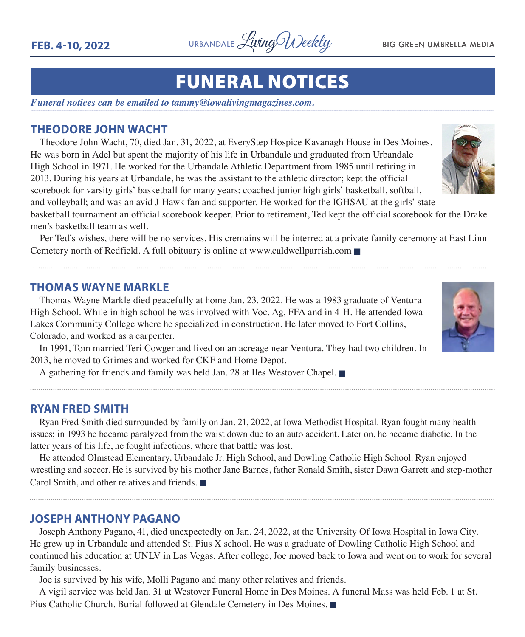

## FUNERAL NOTICES

*Funeral notices can be emailed to tammy@iowalivingmagazines.com.*

### **THEODORE JOHN WACHT**

Theodore John Wacht, 70, died Jan. 31, 2022, at EveryStep Hospice Kavanagh House in Des Moines. He was born in Adel but spent the majority of his life in Urbandale and graduated from Urbandale High School in 1971. He worked for the Urbandale Athletic Department from 1985 until retiring in 2013. During his years at Urbandale, he was the assistant to the athletic director; kept the official scorebook for varsity girls' basketball for many years; coached junior high girls' basketball, softball, and volleyball; and was an avid J-Hawk fan and supporter. He worked for the IGHSAU at the girls' state

basketball tournament an official scorebook keeper. Prior to retirement, Ted kept the official scorebook for the Drake men's basketball team as well.

Per Ted's wishes, there will be no services. His cremains will be interred at a private family ceremony at East Linn Cemetery north of Redfield. A full obituary is online at www.caldwellparrish.com  $\blacksquare$ 

### **THOMAS WAYNE MARKLE**

Thomas Wayne Markle died peacefully at home Jan. 23, 2022. He was a 1983 graduate of Ventura High School. While in high school he was involved with Voc. Ag, FFA and in 4-H. He attended Iowa Lakes Community College where he specialized in construction. He later moved to Fort Collins, Colorado, and worked as a carpenter.

In 1991, Tom married Teri Cowger and lived on an acreage near Ventura. They had two children. In 2013, he moved to Grimes and worked for CKF and Home Depot.

A gathering for friends and family was held Jan. 28 at Iles Westover Chapel.  $\blacksquare$ 

### **RYAN FRED SMITH**

Ryan Fred Smith died surrounded by family on Jan. 21, 2022, at Iowa Methodist Hospital. Ryan fought many health issues; in 1993 he became paralyzed from the waist down due to an auto accident. Later on, he became diabetic. In the latter years of his life, he fought infections, where that battle was lost.

He attended Olmstead Elementary, Urbandale Jr. High School, and Dowling Catholic High School. Ryan enjoyed wrestling and soccer. He is survived by his mother Jane Barnes, father Ronald Smith, sister Dawn Garrett and step-mother Carol Smith, and other relatives and friends.  $\blacksquare$ 

### **JOSEPH ANTHONY PAGANO**

Joseph Anthony Pagano, 41, died unexpectedly on Jan. 24, 2022, at the University Of Iowa Hospital in Iowa City. He grew up in Urbandale and attended St. Pius X school. He was a graduate of Dowling Catholic High School and continued his education at UNLV in Las Vegas. After college, Joe moved back to Iowa and went on to work for several family businesses.

Joe is survived by his wife, Molli Pagano and many other relatives and friends.

A vigil service was held Jan. 31 at Westover Funeral Home in Des Moines. A funeral Mass was held Feb. 1 at St. Pius Catholic Church. Burial followed at Glendale Cemetery in Des Moines.



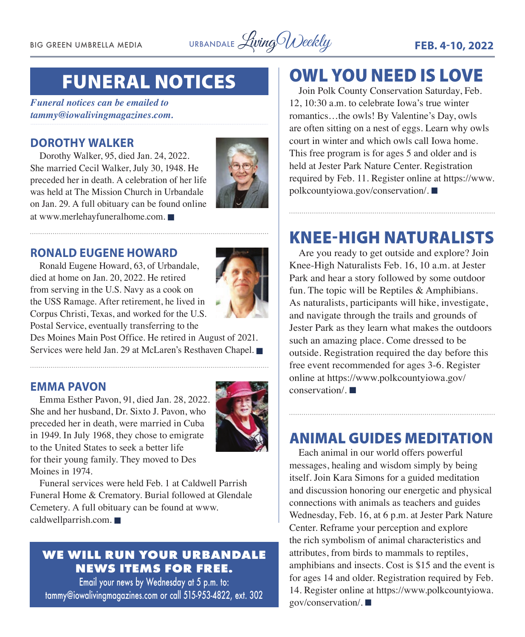BIG GREEN UMBRELLA MEDIA URBANDALE *Living Weekly* FEB. 4-10, 2022

## FUNERAL NOTICES

*Funeral notices can be emailed to tammy@iowalivingmagazines.com.*

### **DOROTHY WALKER**

Dorothy Walker, 95, died Jan. 24, 2022. She married Cecil Walker, July 30, 1948. He preceded her in death. A celebration of her life was held at The Mission Church in Urbandale on Jan. 29. A full obituary can be found online at www.merlehayfuneralhome.com.



### **RONALD EUGENE HOWARD**

Ronald Eugene Howard, 63, of Urbandale, died at home on Jan. 20, 2022. He retired from serving in the U.S. Navy as a cook on the USS Ramage. After retirement, he lived in Corpus Christi, Texas, and worked for the U.S. Postal Service, eventually transferring to the



Des Moines Main Post Office. He retired in August of 2021. Services were held Jan. 29 at McLaren's Resthaven Chapel.

### **EMMA PAVON**

Emma Esther Pavon, 91, died Jan. 28, 2022. She and her husband, Dr. Sixto J. Pavon, who preceded her in death, were married in Cuba in 1949. In July 1968, they chose to emigrate to the United States to seek a better life for their young family. They moved to Des Moines in 1974.



Funeral services were held Feb. 1 at Caldwell Parrish Funeral Home & Crematory. Burial followed at Glendale Cemetery. A full obituary can be found at www.  $calw$  ealdwellparrish.com.

### **WE WILL RUN YOUR URBANDALE NEWS ITEMS FOR FREE.**

Email your news by Wednesday at 5 p.m. to: tammy@iowalivingmagazines.com or call 515-953-4822, ext. 302

### OWL YOU NEED IS LOVE

Join Polk County Conservation Saturday, Feb. 12, 10:30 a.m. to celebrate Iowa's true winter romantics…the owls! By Valentine's Day, owls are often sitting on a nest of eggs. Learn why owls court in winter and which owls call Iowa home. This free program is for ages 5 and older and is held at Jester Park Nature Center. Registration required by Feb. 11. Register online at https://www.  $polkcountyiowa.gov/conservation/.\blacksquare$ 

### KNEE-HIGH NATURALISTS

Are you ready to get outside and explore? Join Knee-High Naturalists Feb. 16, 10 a.m. at Jester Park and hear a story followed by some outdoor fun. The topic will be Reptiles & Amphibians. As naturalists, participants will hike, investigate, and navigate through the trails and grounds of Jester Park as they learn what makes the outdoors such an amazing place. Come dressed to be outside. Registration required the day before this free event recommended for ages 3-6. Register online at https://www.polkcountyiowa.gov/  $conservation/$ .

### ANIMAL GUIDES MEDITATION

Each animal in our world offers powerful messages, healing and wisdom simply by being itself. Join Kara Simons for a guided meditation and discussion honoring our energetic and physical connections with animals as teachers and guides Wednesday, Feb. 16, at 6 p.m. at Jester Park Nature Center. Reframe your perception and explore the rich symbolism of animal characteristics and attributes, from birds to mammals to reptiles, amphibians and insects. Cost is \$15 and the event is for ages 14 and older. Registration required by Feb. 14. Register online at https://www.polkcountyiowa. gov/conservation/.  $\blacksquare$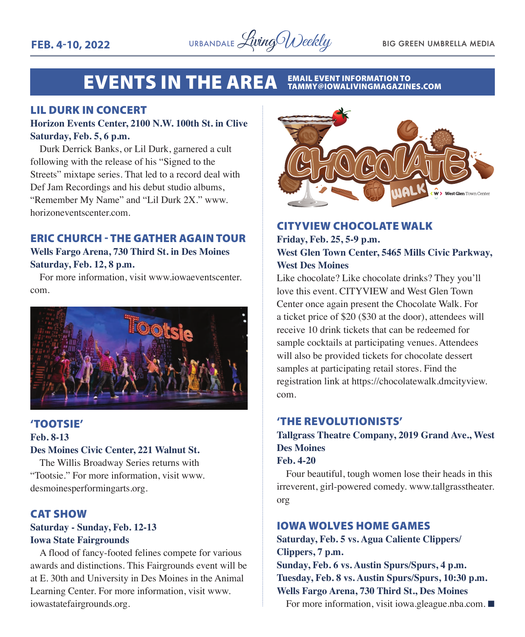#### **EVENTS IN THE AREA** EMAIL EVENT INFORMATION TO<br>TAMMY@IOWALIVINGMAGAZINES.COM

### LIL DURK IN CONCERT

### **Horizon Events Center, 2100 N.W. 100th St. in Clive Saturday, Feb. 5, 6 p.m.**

Durk Derrick Banks, or Lil Durk, garnered a cult following with the release of his "Signed to the Streets" mixtape series. That led to a record deal with Def Jam Recordings and his debut studio albums, "Remember My Name" and "Lil Durk 2X." www. horizoneventscenter.com.

### ERIC CHURCH - THE GATHER AGAIN TOUR **Wells Fargo Arena, 730 Third St. in Des Moines Saturday, Feb. 12, 8 p.m.**

For more information, visit www.iowaeventscenter. com.



### 'TOOTSIE' **Feb. 8-13 Des Moines Civic Center, 221 Walnut St.**

The Willis Broadway Series returns with "Tootsie." For more information, visit www. desmoinesperformingarts.org.

### CAT SHOW

### **Saturday - Sunday, Feb. 12-13 Iowa State Fairgrounds**

A flood of fancy-footed felines compete for various awards and distinctions. This Fairgrounds event will be at E. 30th and University in Des Moines in the Animal Learning Center. For more information, visit www. iowastatefairgrounds.org.



### CITYVIEW CHOCOLATE WALK **Friday, Feb. 25, 5-9 p.m. West Glen Town Center, 5465 Mills Civic Parkway, West Des Moines**

Like chocolate? Like chocolate drinks? They you'll love this event. CITYVIEW and West Glen Town Center once again present the Chocolate Walk. For a ticket price of \$20 (\$30 at the door), attendees will receive 10 drink tickets that can be redeemed for sample cocktails at participating venues. Attendees will also be provided tickets for chocolate dessert samples at participating retail stores. Find the registration link at https://chocolatewalk.dmcityview. com.

### 'THE REVOLUTIONISTS'

### **Tallgrass Theatre Company, 2019 Grand Ave., West Des Moines**

### **Feb. 4-20**

Four beautiful, tough women lose their heads in this irreverent, girl-powered comedy. www.tallgrasstheater. org

### IOWA WOLVES HOME GAMES

**Saturday, Feb. 5 vs. Agua Caliente Clippers/ Clippers, 7 p.m. Sunday, Feb. 6 vs. Austin Spurs/Spurs, 4 p.m. Tuesday, Feb. 8 vs. Austin Spurs/Spurs, 10:30 p.m. Wells Fargo Arena, 730 Third St., Des Moines**

For more information, visit iowa.gleague.nba.com.  $\blacksquare$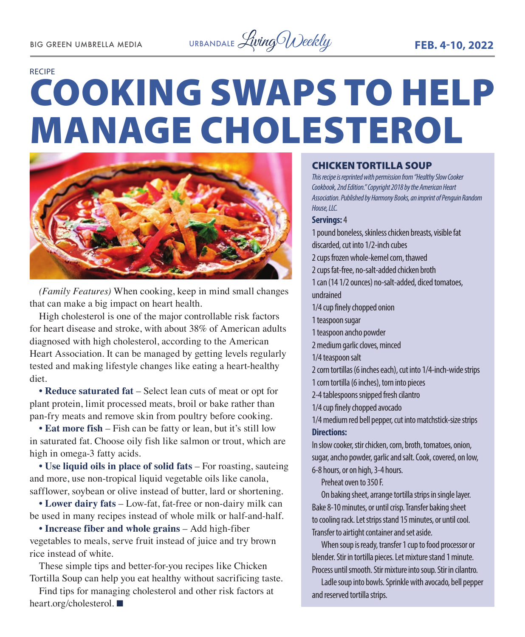

## COOKING SWAPS TO HELP MANAGE CHOLESTEROL RECIPE



*(Family Features)* When cooking, keep in mind small changes that can make a big impact on heart health.

High cholesterol is one of the major controllable risk factors for heart disease and stroke, with about 38% of American adults diagnosed with high cholesterol, according to the American Heart Association. It can be managed by getting levels regularly tested and making lifestyle changes like eating a heart-healthy diet.

**• Reduce saturated fat** – Select lean cuts of meat or opt for plant protein, limit processed meats, broil or bake rather than pan-fry meats and remove skin from poultry before cooking.

**• Eat more fish** – Fish can be fatty or lean, but it's still low in saturated fat. Choose oily fish like salmon or trout, which are high in omega-3 fatty acids.

**• Use liquid oils in place of solid fats** – For roasting, sauteing and more, use non-tropical liquid vegetable oils like canola, safflower, soybean or olive instead of butter, lard or shortening.

**• Lower dairy fats** – Low-fat, fat-free or non-dairy milk can be used in many recipes instead of whole milk or half-and-half.

**• Increase fiber and whole grains** – Add high-fiber vegetables to meals, serve fruit instead of juice and try brown rice instead of white.

These simple tips and better-for-you recipes like Chicken Tortilla Soup can help you eat healthy without sacrificing taste.

Find tips for managing cholesterol and other risk factors at heart.org/cholesterol.

#### CHICKEN TORTILLA SOUP

*This recipe is reprinted with permission from "Healthy Slow Cooker Cookbook, 2nd Edition." Copyright 2018 by the American Heart Association. Published by Harmony Books, an imprint of Penguin Random House, LLC.* 

#### **Servings:** 4

1 pound boneless, skinless chicken breasts, visible fat discarded, cut into 1/2-inch cubes 2 cups frozen whole-kernel corn, thawed 2 cups fat-free, no-salt-added chicken broth 1 can (14 1/2 ounces) no-salt-added, diced tomatoes, undrained 1/4 cup finely chopped onion 1 teaspoon sugar 1 teaspoon ancho powder 2 medium garlic cloves, minced 1/4 teaspoon salt 2 corn tortillas (6 inches each), cut into 1/4-inch-wide strips 1 corn tortilla (6 inches), torn into pieces 2-4 tablespoons snipped fresh cilantro 1/4 cup finely chopped avocado 1/4 medium red bell pepper, cut into matchstick-size strips **Directions:** In slow cooker, stir chicken, corn, broth, tomatoes, onion, sugar, ancho powder, garlic and salt. Cook, covered, on low,

6-8 hours, or on high, 3-4 hours.

Preheat oven to 350 F.

On baking sheet, arrange tortilla strips in single layer. Bake 8-10 minutes, or until crisp. Transfer baking sheet to cooling rack. Let strips stand 15 minutes, or until cool. Transfer to airtight container and set aside.

When soup is ready, transfer 1 cup to food processor or blender. Stir in tortilla pieces. Let mixture stand 1 minute. Process until smooth. Stir mixture into soup. Stir in cilantro.

Ladle soup into bowls. Sprinkle with avocado, bell pepper and reserved tortilla strips.